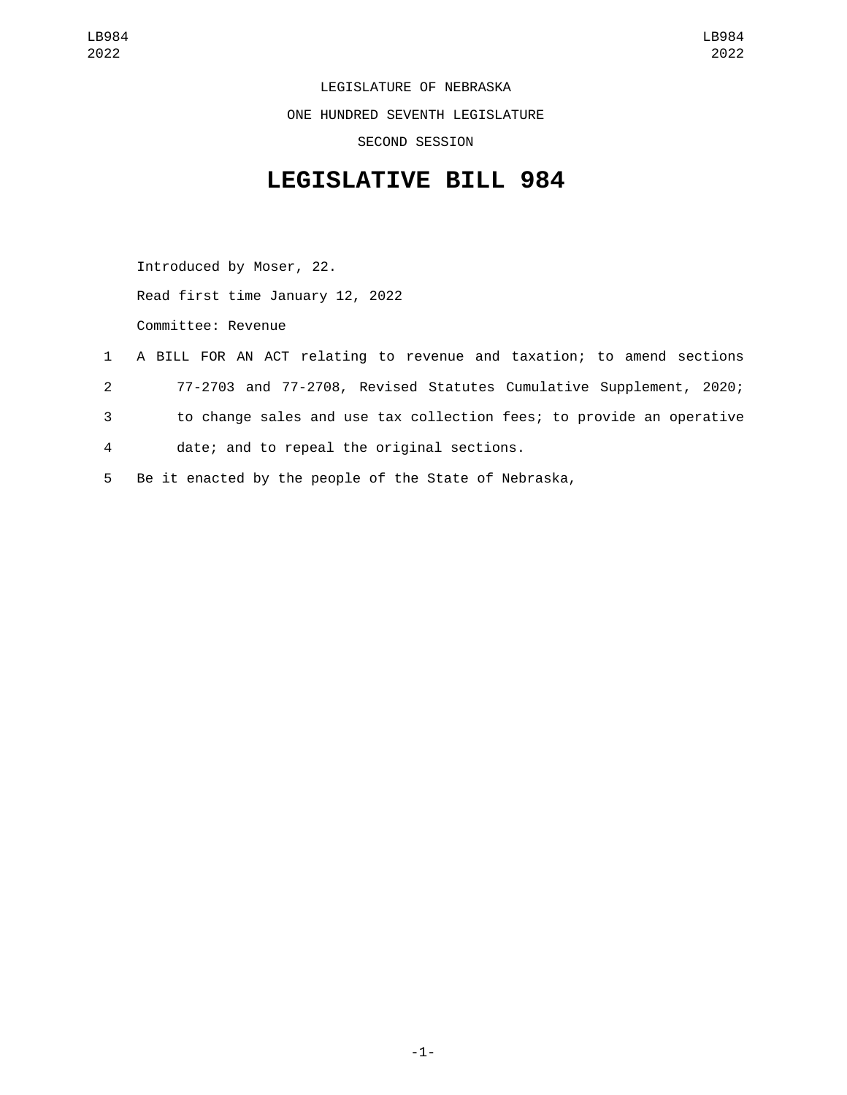LEGISLATURE OF NEBRASKA ONE HUNDRED SEVENTH LEGISLATURE SECOND SESSION

## **LEGISLATIVE BILL 984**

Introduced by Moser, 22. Read first time January 12, 2022 Committee: Revenue

- 1 A BILL FOR AN ACT relating to revenue and taxation; to amend sections 2 77-2703 and 77-2708, Revised Statutes Cumulative Supplement, 2020; 3 to change sales and use tax collection fees; to provide an operative 4 date; and to repeal the original sections.
- 5 Be it enacted by the people of the State of Nebraska,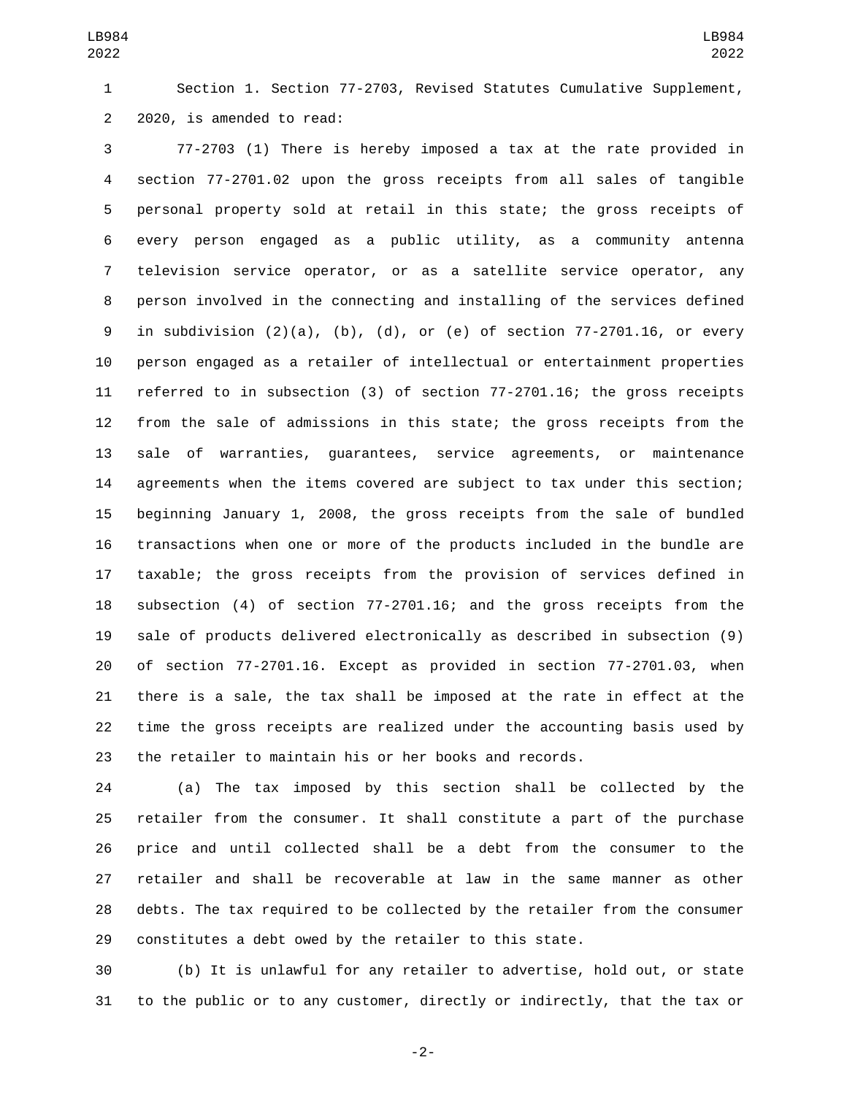Section 1. Section 77-2703, Revised Statutes Cumulative Supplement, 2 2020, is amended to read:

 77-2703 (1) There is hereby imposed a tax at the rate provided in section 77-2701.02 upon the gross receipts from all sales of tangible personal property sold at retail in this state; the gross receipts of every person engaged as a public utility, as a community antenna television service operator, or as a satellite service operator, any person involved in the connecting and installing of the services defined in subdivision (2)(a), (b), (d), or (e) of section 77-2701.16, or every person engaged as a retailer of intellectual or entertainment properties referred to in subsection (3) of section 77-2701.16; the gross receipts from the sale of admissions in this state; the gross receipts from the sale of warranties, guarantees, service agreements, or maintenance agreements when the items covered are subject to tax under this section; beginning January 1, 2008, the gross receipts from the sale of bundled transactions when one or more of the products included in the bundle are taxable; the gross receipts from the provision of services defined in subsection (4) of section 77-2701.16; and the gross receipts from the sale of products delivered electronically as described in subsection (9) of section 77-2701.16. Except as provided in section 77-2701.03, when there is a sale, the tax shall be imposed at the rate in effect at the time the gross receipts are realized under the accounting basis used by the retailer to maintain his or her books and records.

 (a) The tax imposed by this section shall be collected by the retailer from the consumer. It shall constitute a part of the purchase price and until collected shall be a debt from the consumer to the retailer and shall be recoverable at law in the same manner as other debts. The tax required to be collected by the retailer from the consumer constitutes a debt owed by the retailer to this state.

 (b) It is unlawful for any retailer to advertise, hold out, or state to the public or to any customer, directly or indirectly, that the tax or

-2-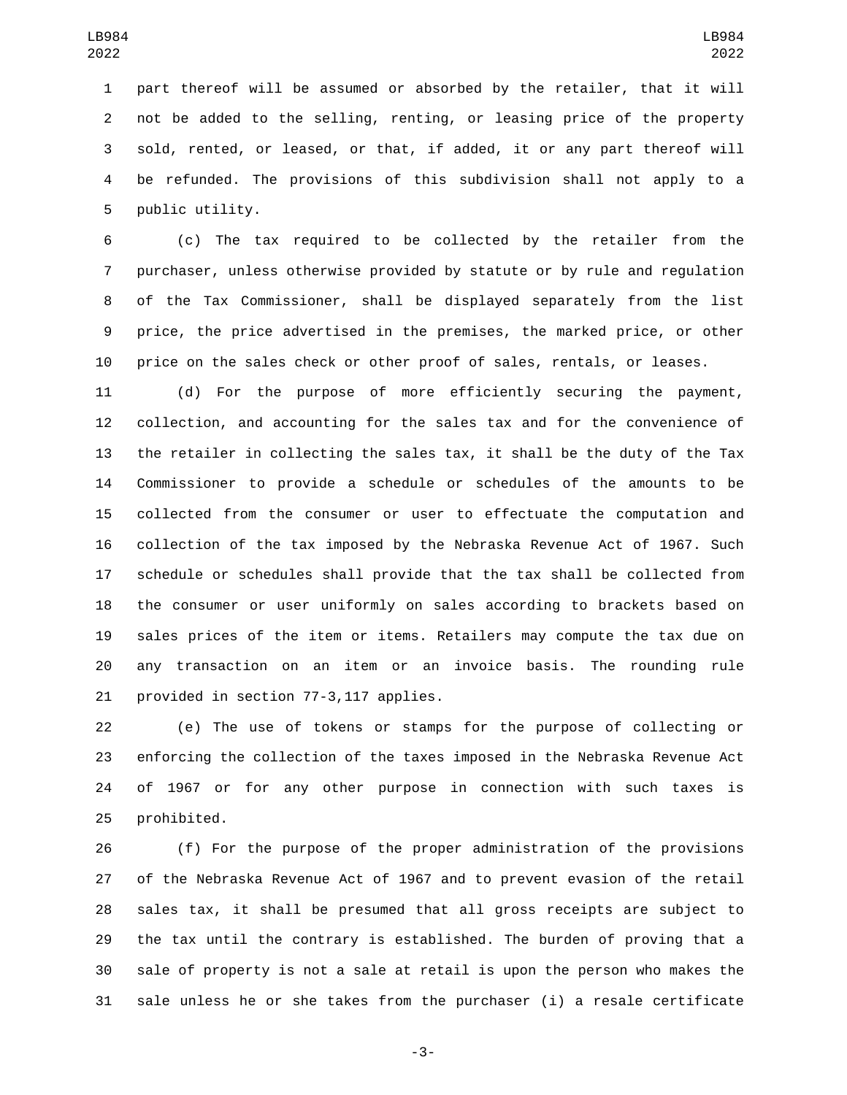part thereof will be assumed or absorbed by the retailer, that it will not be added to the selling, renting, or leasing price of the property sold, rented, or leased, or that, if added, it or any part thereof will be refunded. The provisions of this subdivision shall not apply to a 5 public utility.

 (c) The tax required to be collected by the retailer from the purchaser, unless otherwise provided by statute or by rule and regulation of the Tax Commissioner, shall be displayed separately from the list price, the price advertised in the premises, the marked price, or other price on the sales check or other proof of sales, rentals, or leases.

 (d) For the purpose of more efficiently securing the payment, collection, and accounting for the sales tax and for the convenience of the retailer in collecting the sales tax, it shall be the duty of the Tax Commissioner to provide a schedule or schedules of the amounts to be collected from the consumer or user to effectuate the computation and collection of the tax imposed by the Nebraska Revenue Act of 1967. Such schedule or schedules shall provide that the tax shall be collected from the consumer or user uniformly on sales according to brackets based on sales prices of the item or items. Retailers may compute the tax due on any transaction on an item or an invoice basis. The rounding rule 21 provided in section 77-3,117 applies.

 (e) The use of tokens or stamps for the purpose of collecting or enforcing the collection of the taxes imposed in the Nebraska Revenue Act of 1967 or for any other purpose in connection with such taxes is 25 prohibited.

 (f) For the purpose of the proper administration of the provisions of the Nebraska Revenue Act of 1967 and to prevent evasion of the retail sales tax, it shall be presumed that all gross receipts are subject to the tax until the contrary is established. The burden of proving that a sale of property is not a sale at retail is upon the person who makes the sale unless he or she takes from the purchaser (i) a resale certificate

-3-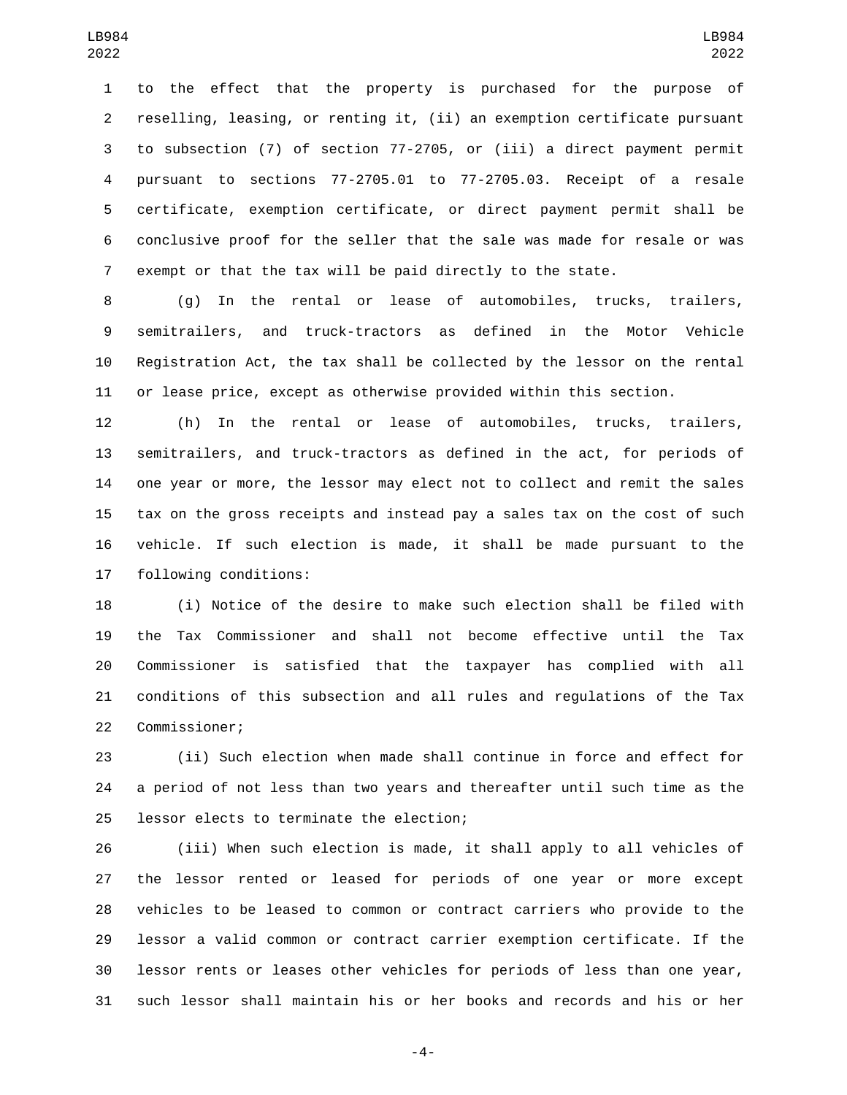to the effect that the property is purchased for the purpose of reselling, leasing, or renting it, (ii) an exemption certificate pursuant to subsection (7) of section 77-2705, or (iii) a direct payment permit pursuant to sections 77-2705.01 to 77-2705.03. Receipt of a resale certificate, exemption certificate, or direct payment permit shall be conclusive proof for the seller that the sale was made for resale or was exempt or that the tax will be paid directly to the state.

 (g) In the rental or lease of automobiles, trucks, trailers, semitrailers, and truck-tractors as defined in the Motor Vehicle Registration Act, the tax shall be collected by the lessor on the rental or lease price, except as otherwise provided within this section.

 (h) In the rental or lease of automobiles, trucks, trailers, semitrailers, and truck-tractors as defined in the act, for periods of one year or more, the lessor may elect not to collect and remit the sales tax on the gross receipts and instead pay a sales tax on the cost of such vehicle. If such election is made, it shall be made pursuant to the 17 following conditions:

 (i) Notice of the desire to make such election shall be filed with the Tax Commissioner and shall not become effective until the Tax Commissioner is satisfied that the taxpayer has complied with all conditions of this subsection and all rules and regulations of the Tax 22 Commissioner;

 (ii) Such election when made shall continue in force and effect for a period of not less than two years and thereafter until such time as the 25 lessor elects to terminate the election;

 (iii) When such election is made, it shall apply to all vehicles of the lessor rented or leased for periods of one year or more except vehicles to be leased to common or contract carriers who provide to the lessor a valid common or contract carrier exemption certificate. If the lessor rents or leases other vehicles for periods of less than one year, such lessor shall maintain his or her books and records and his or her

-4-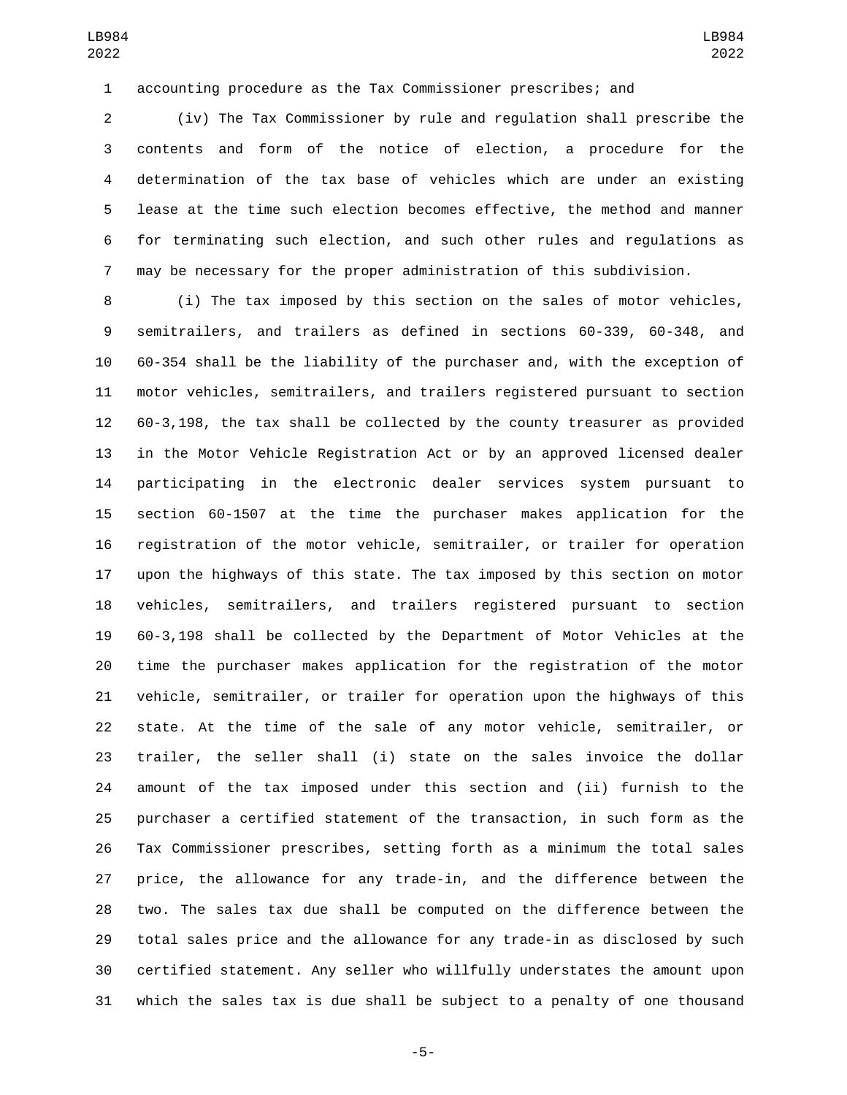accounting procedure as the Tax Commissioner prescribes; and

 (iv) The Tax Commissioner by rule and regulation shall prescribe the contents and form of the notice of election, a procedure for the determination of the tax base of vehicles which are under an existing lease at the time such election becomes effective, the method and manner for terminating such election, and such other rules and regulations as may be necessary for the proper administration of this subdivision.

 (i) The tax imposed by this section on the sales of motor vehicles, semitrailers, and trailers as defined in sections 60-339, 60-348, and 60-354 shall be the liability of the purchaser and, with the exception of motor vehicles, semitrailers, and trailers registered pursuant to section 60-3,198, the tax shall be collected by the county treasurer as provided in the Motor Vehicle Registration Act or by an approved licensed dealer participating in the electronic dealer services system pursuant to section 60-1507 at the time the purchaser makes application for the registration of the motor vehicle, semitrailer, or trailer for operation upon the highways of this state. The tax imposed by this section on motor vehicles, semitrailers, and trailers registered pursuant to section 60-3,198 shall be collected by the Department of Motor Vehicles at the time the purchaser makes application for the registration of the motor vehicle, semitrailer, or trailer for operation upon the highways of this state. At the time of the sale of any motor vehicle, semitrailer, or trailer, the seller shall (i) state on the sales invoice the dollar amount of the tax imposed under this section and (ii) furnish to the purchaser a certified statement of the transaction, in such form as the Tax Commissioner prescribes, setting forth as a minimum the total sales price, the allowance for any trade-in, and the difference between the two. The sales tax due shall be computed on the difference between the total sales price and the allowance for any trade-in as disclosed by such certified statement. Any seller who willfully understates the amount upon which the sales tax is due shall be subject to a penalty of one thousand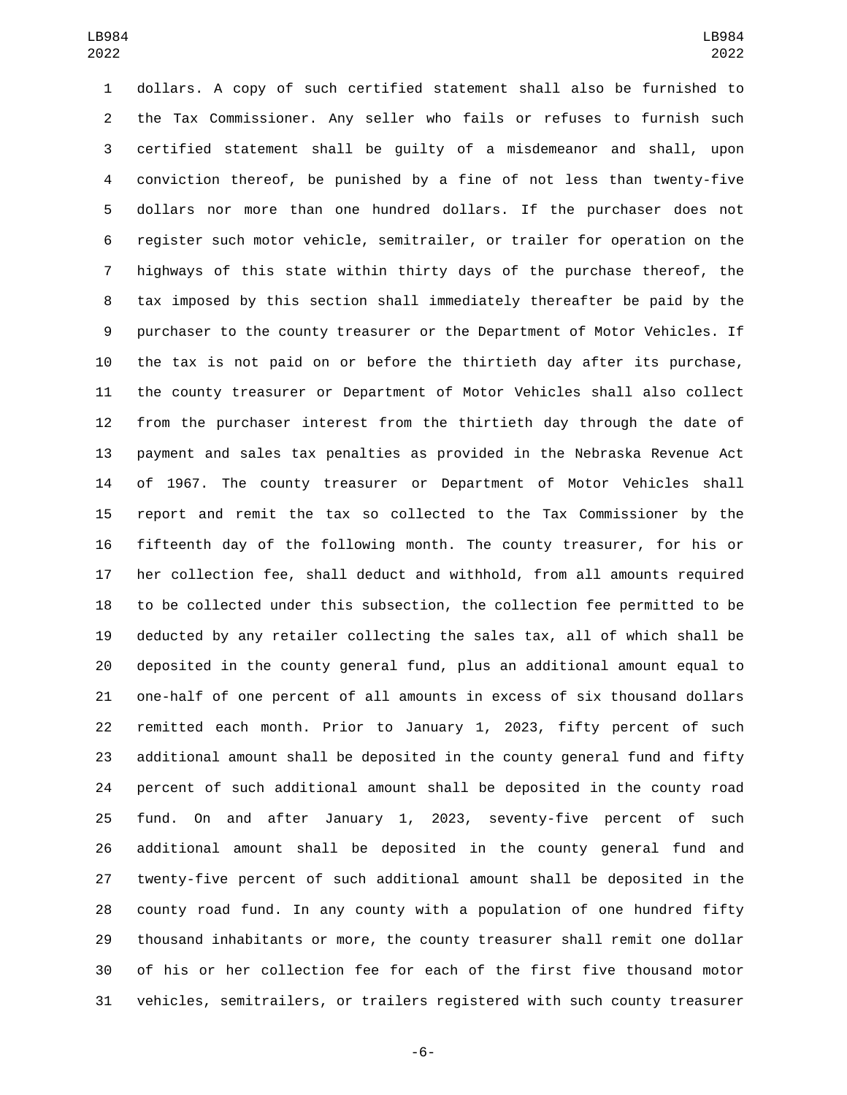dollars. A copy of such certified statement shall also be furnished to the Tax Commissioner. Any seller who fails or refuses to furnish such certified statement shall be guilty of a misdemeanor and shall, upon conviction thereof, be punished by a fine of not less than twenty-five dollars nor more than one hundred dollars. If the purchaser does not register such motor vehicle, semitrailer, or trailer for operation on the highways of this state within thirty days of the purchase thereof, the tax imposed by this section shall immediately thereafter be paid by the purchaser to the county treasurer or the Department of Motor Vehicles. If the tax is not paid on or before the thirtieth day after its purchase, the county treasurer or Department of Motor Vehicles shall also collect from the purchaser interest from the thirtieth day through the date of payment and sales tax penalties as provided in the Nebraska Revenue Act of 1967. The county treasurer or Department of Motor Vehicles shall report and remit the tax so collected to the Tax Commissioner by the fifteenth day of the following month. The county treasurer, for his or her collection fee, shall deduct and withhold, from all amounts required to be collected under this subsection, the collection fee permitted to be deducted by any retailer collecting the sales tax, all of which shall be deposited in the county general fund, plus an additional amount equal to one-half of one percent of all amounts in excess of six thousand dollars remitted each month. Prior to January 1, 2023, fifty percent of such additional amount shall be deposited in the county general fund and fifty percent of such additional amount shall be deposited in the county road fund. On and after January 1, 2023, seventy-five percent of such additional amount shall be deposited in the county general fund and twenty-five percent of such additional amount shall be deposited in the county road fund. In any county with a population of one hundred fifty thousand inhabitants or more, the county treasurer shall remit one dollar of his or her collection fee for each of the first five thousand motor vehicles, semitrailers, or trailers registered with such county treasurer

-6-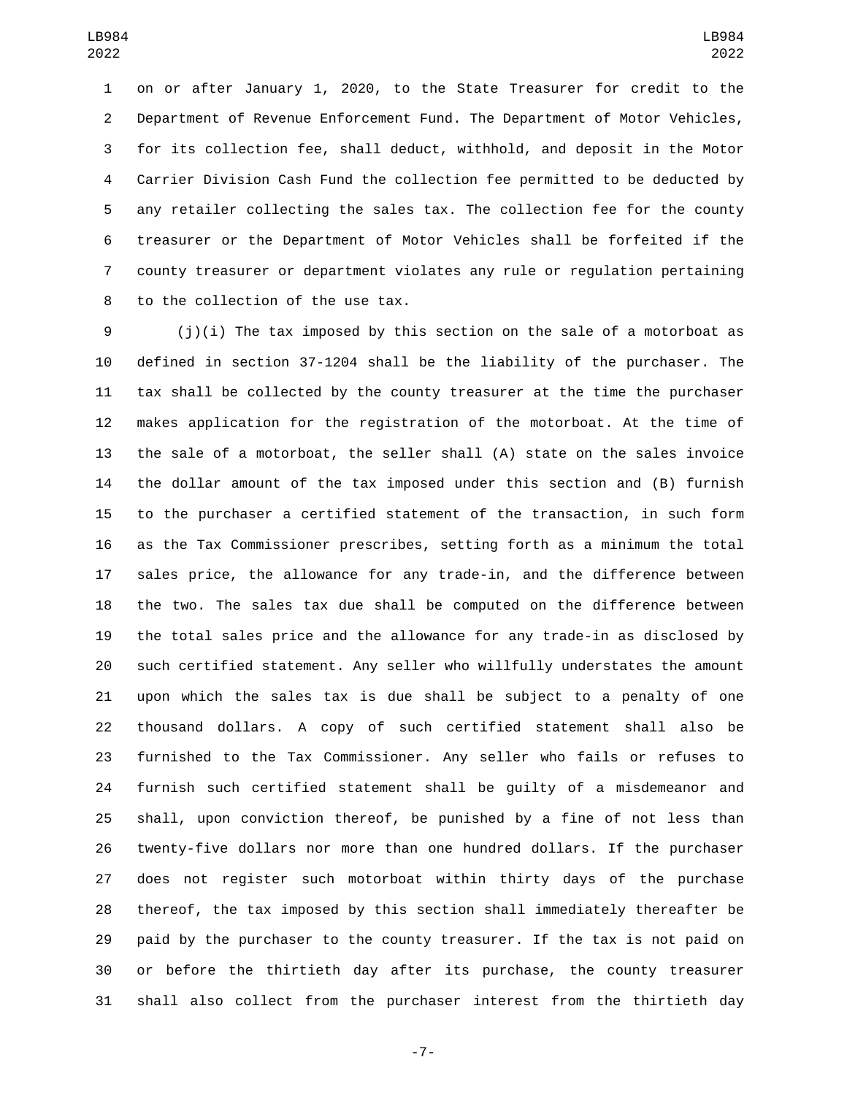on or after January 1, 2020, to the State Treasurer for credit to the Department of Revenue Enforcement Fund. The Department of Motor Vehicles, for its collection fee, shall deduct, withhold, and deposit in the Motor Carrier Division Cash Fund the collection fee permitted to be deducted by any retailer collecting the sales tax. The collection fee for the county treasurer or the Department of Motor Vehicles shall be forfeited if the county treasurer or department violates any rule or regulation pertaining 8 to the collection of the use tax.

 (j)(i) The tax imposed by this section on the sale of a motorboat as defined in section 37-1204 shall be the liability of the purchaser. The tax shall be collected by the county treasurer at the time the purchaser makes application for the registration of the motorboat. At the time of the sale of a motorboat, the seller shall (A) state on the sales invoice the dollar amount of the tax imposed under this section and (B) furnish to the purchaser a certified statement of the transaction, in such form as the Tax Commissioner prescribes, setting forth as a minimum the total sales price, the allowance for any trade-in, and the difference between the two. The sales tax due shall be computed on the difference between the total sales price and the allowance for any trade-in as disclosed by such certified statement. Any seller who willfully understates the amount upon which the sales tax is due shall be subject to a penalty of one thousand dollars. A copy of such certified statement shall also be furnished to the Tax Commissioner. Any seller who fails or refuses to furnish such certified statement shall be guilty of a misdemeanor and shall, upon conviction thereof, be punished by a fine of not less than twenty-five dollars nor more than one hundred dollars. If the purchaser does not register such motorboat within thirty days of the purchase thereof, the tax imposed by this section shall immediately thereafter be paid by the purchaser to the county treasurer. If the tax is not paid on or before the thirtieth day after its purchase, the county treasurer shall also collect from the purchaser interest from the thirtieth day

-7-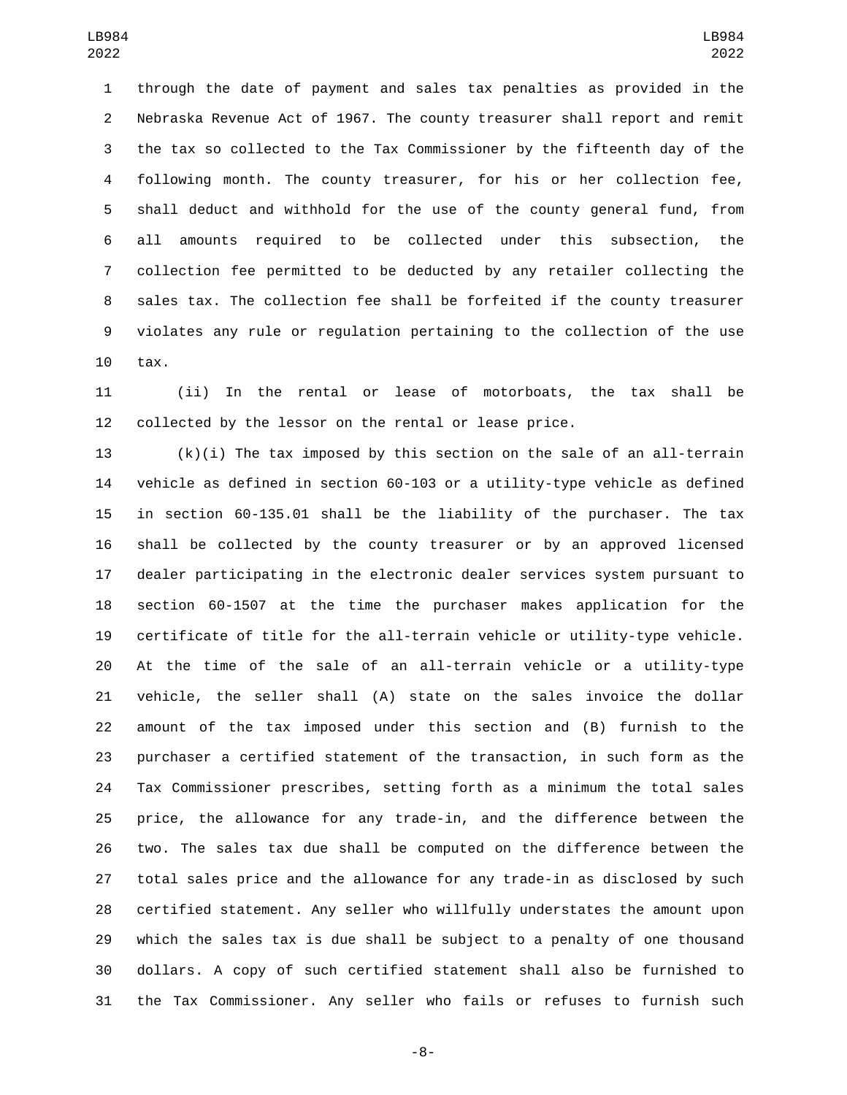through the date of payment and sales tax penalties as provided in the Nebraska Revenue Act of 1967. The county treasurer shall report and remit the tax so collected to the Tax Commissioner by the fifteenth day of the following month. The county treasurer, for his or her collection fee, shall deduct and withhold for the use of the county general fund, from all amounts required to be collected under this subsection, the collection fee permitted to be deducted by any retailer collecting the sales tax. The collection fee shall be forfeited if the county treasurer violates any rule or regulation pertaining to the collection of the use 10 tax.

 (ii) In the rental or lease of motorboats, the tax shall be collected by the lessor on the rental or lease price.

 (k)(i) The tax imposed by this section on the sale of an all-terrain vehicle as defined in section 60-103 or a utility-type vehicle as defined in section 60-135.01 shall be the liability of the purchaser. The tax shall be collected by the county treasurer or by an approved licensed dealer participating in the electronic dealer services system pursuant to section 60-1507 at the time the purchaser makes application for the certificate of title for the all-terrain vehicle or utility-type vehicle. At the time of the sale of an all-terrain vehicle or a utility-type vehicle, the seller shall (A) state on the sales invoice the dollar amount of the tax imposed under this section and (B) furnish to the purchaser a certified statement of the transaction, in such form as the Tax Commissioner prescribes, setting forth as a minimum the total sales price, the allowance for any trade-in, and the difference between the two. The sales tax due shall be computed on the difference between the total sales price and the allowance for any trade-in as disclosed by such certified statement. Any seller who willfully understates the amount upon which the sales tax is due shall be subject to a penalty of one thousand dollars. A copy of such certified statement shall also be furnished to the Tax Commissioner. Any seller who fails or refuses to furnish such

-8-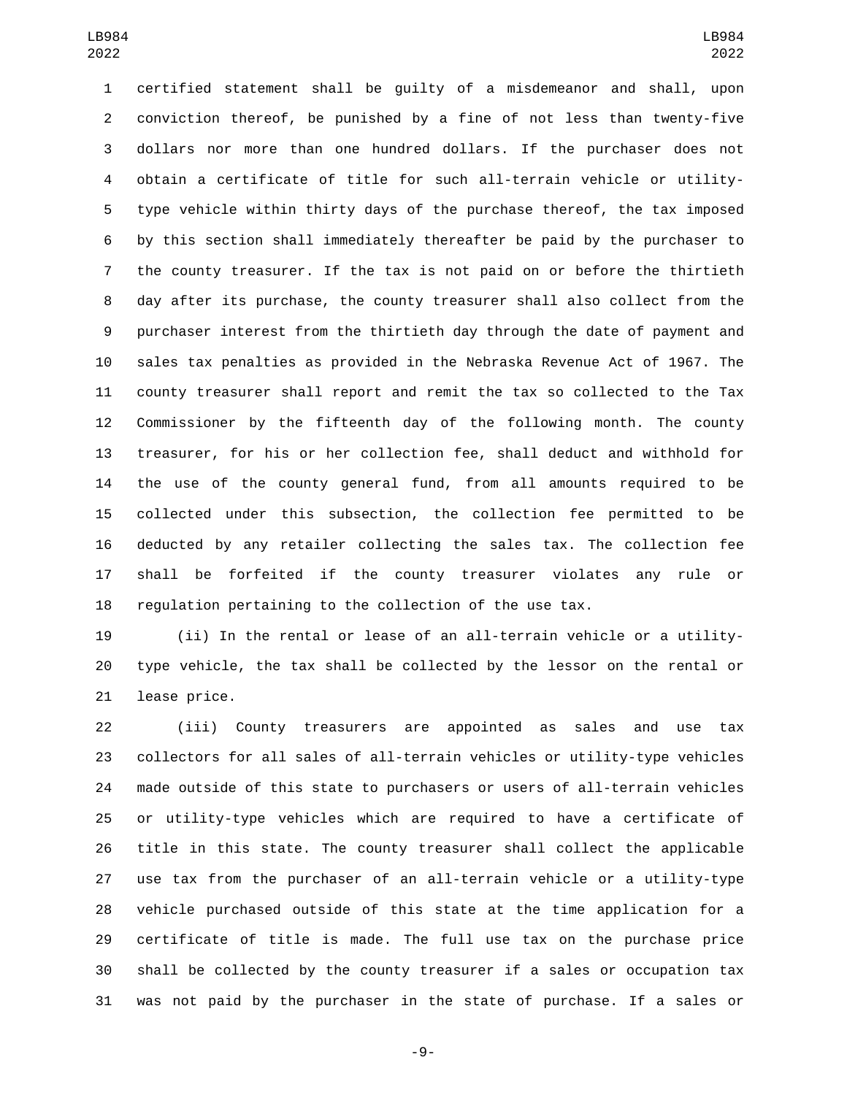certified statement shall be guilty of a misdemeanor and shall, upon conviction thereof, be punished by a fine of not less than twenty-five dollars nor more than one hundred dollars. If the purchaser does not obtain a certificate of title for such all-terrain vehicle or utility- type vehicle within thirty days of the purchase thereof, the tax imposed by this section shall immediately thereafter be paid by the purchaser to the county treasurer. If the tax is not paid on or before the thirtieth day after its purchase, the county treasurer shall also collect from the purchaser interest from the thirtieth day through the date of payment and sales tax penalties as provided in the Nebraska Revenue Act of 1967. The county treasurer shall report and remit the tax so collected to the Tax Commissioner by the fifteenth day of the following month. The county treasurer, for his or her collection fee, shall deduct and withhold for the use of the county general fund, from all amounts required to be collected under this subsection, the collection fee permitted to be deducted by any retailer collecting the sales tax. The collection fee shall be forfeited if the county treasurer violates any rule or regulation pertaining to the collection of the use tax.

 (ii) In the rental or lease of an all-terrain vehicle or a utility- type vehicle, the tax shall be collected by the lessor on the rental or 21 lease price.

 (iii) County treasurers are appointed as sales and use tax collectors for all sales of all-terrain vehicles or utility-type vehicles made outside of this state to purchasers or users of all-terrain vehicles or utility-type vehicles which are required to have a certificate of title in this state. The county treasurer shall collect the applicable use tax from the purchaser of an all-terrain vehicle or a utility-type vehicle purchased outside of this state at the time application for a certificate of title is made. The full use tax on the purchase price shall be collected by the county treasurer if a sales or occupation tax was not paid by the purchaser in the state of purchase. If a sales or

-9-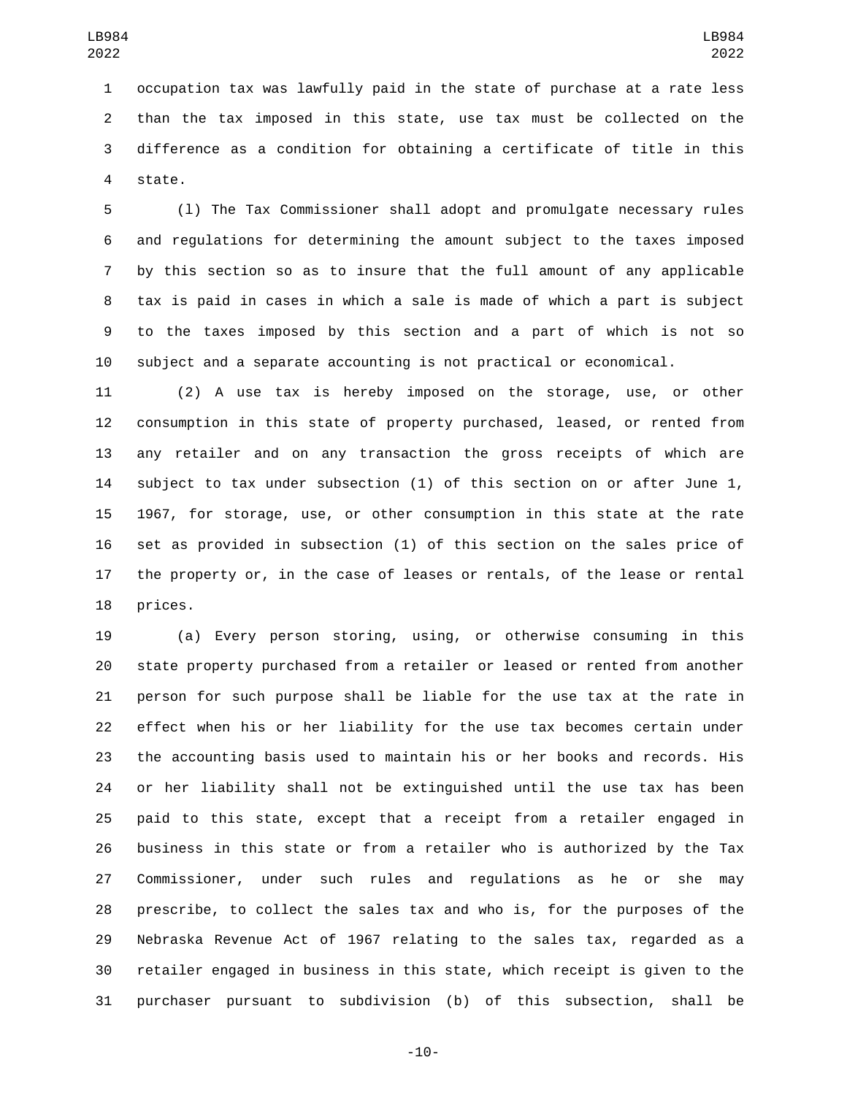occupation tax was lawfully paid in the state of purchase at a rate less than the tax imposed in this state, use tax must be collected on the difference as a condition for obtaining a certificate of title in this 4 state.

 (l) The Tax Commissioner shall adopt and promulgate necessary rules and regulations for determining the amount subject to the taxes imposed by this section so as to insure that the full amount of any applicable tax is paid in cases in which a sale is made of which a part is subject to the taxes imposed by this section and a part of which is not so subject and a separate accounting is not practical or economical.

 (2) A use tax is hereby imposed on the storage, use, or other consumption in this state of property purchased, leased, or rented from any retailer and on any transaction the gross receipts of which are subject to tax under subsection (1) of this section on or after June 1, 1967, for storage, use, or other consumption in this state at the rate set as provided in subsection (1) of this section on the sales price of the property or, in the case of leases or rentals, of the lease or rental 18 prices.

 (a) Every person storing, using, or otherwise consuming in this state property purchased from a retailer or leased or rented from another person for such purpose shall be liable for the use tax at the rate in effect when his or her liability for the use tax becomes certain under the accounting basis used to maintain his or her books and records. His or her liability shall not be extinguished until the use tax has been paid to this state, except that a receipt from a retailer engaged in business in this state or from a retailer who is authorized by the Tax Commissioner, under such rules and regulations as he or she may prescribe, to collect the sales tax and who is, for the purposes of the Nebraska Revenue Act of 1967 relating to the sales tax, regarded as a retailer engaged in business in this state, which receipt is given to the purchaser pursuant to subdivision (b) of this subsection, shall be

-10-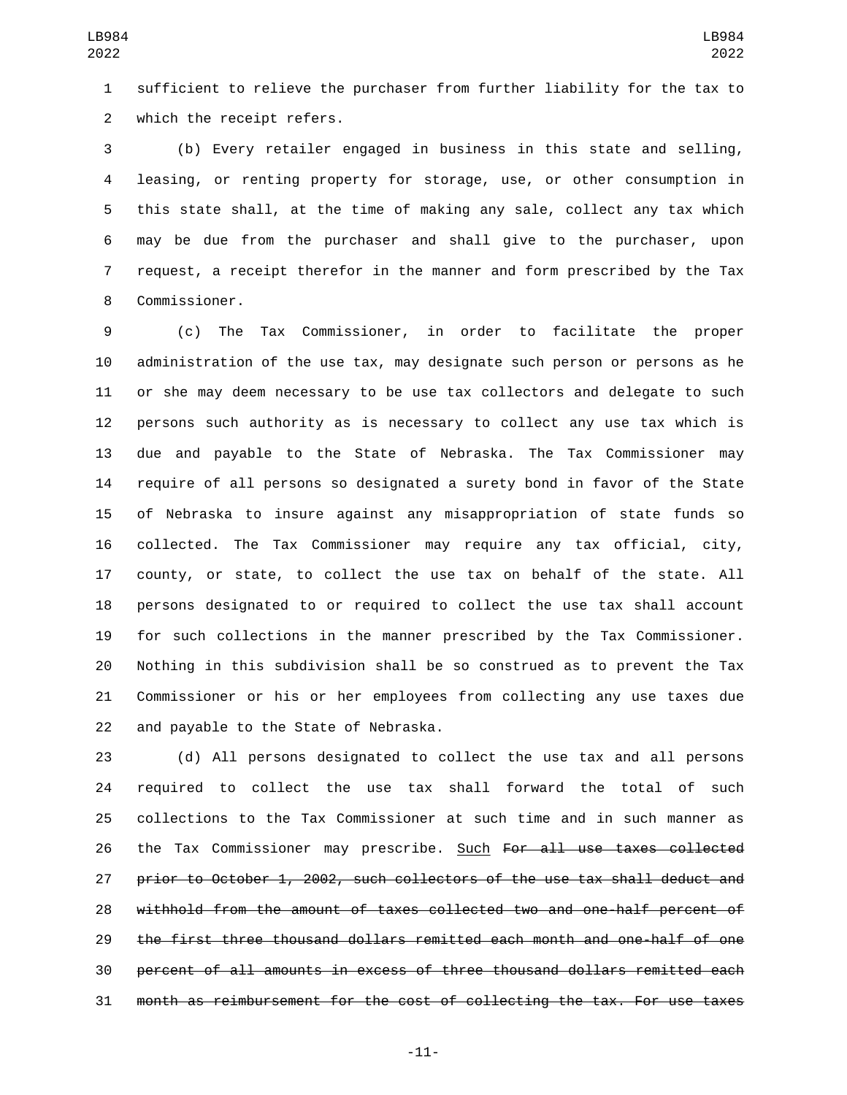sufficient to relieve the purchaser from further liability for the tax to 2 which the receipt refers.

 (b) Every retailer engaged in business in this state and selling, leasing, or renting property for storage, use, or other consumption in this state shall, at the time of making any sale, collect any tax which may be due from the purchaser and shall give to the purchaser, upon request, a receipt therefor in the manner and form prescribed by the Tax 8 Commissioner.

 (c) The Tax Commissioner, in order to facilitate the proper administration of the use tax, may designate such person or persons as he or she may deem necessary to be use tax collectors and delegate to such persons such authority as is necessary to collect any use tax which is due and payable to the State of Nebraska. The Tax Commissioner may require of all persons so designated a surety bond in favor of the State of Nebraska to insure against any misappropriation of state funds so collected. The Tax Commissioner may require any tax official, city, county, or state, to collect the use tax on behalf of the state. All persons designated to or required to collect the use tax shall account for such collections in the manner prescribed by the Tax Commissioner. Nothing in this subdivision shall be so construed as to prevent the Tax Commissioner or his or her employees from collecting any use taxes due 22 and payable to the State of Nebraska.

 (d) All persons designated to collect the use tax and all persons required to collect the use tax shall forward the total of such collections to the Tax Commissioner at such time and in such manner as 26 the Tax Commissioner may prescribe. Such For all use taxes collected prior to October 1, 2002, such collectors of the use tax shall deduct and withhold from the amount of taxes collected two and one-half percent of the first three thousand dollars remitted each month and one-half of one percent of all amounts in excess of three thousand dollars remitted each month as reimbursement for the cost of collecting the tax. For use taxes

-11-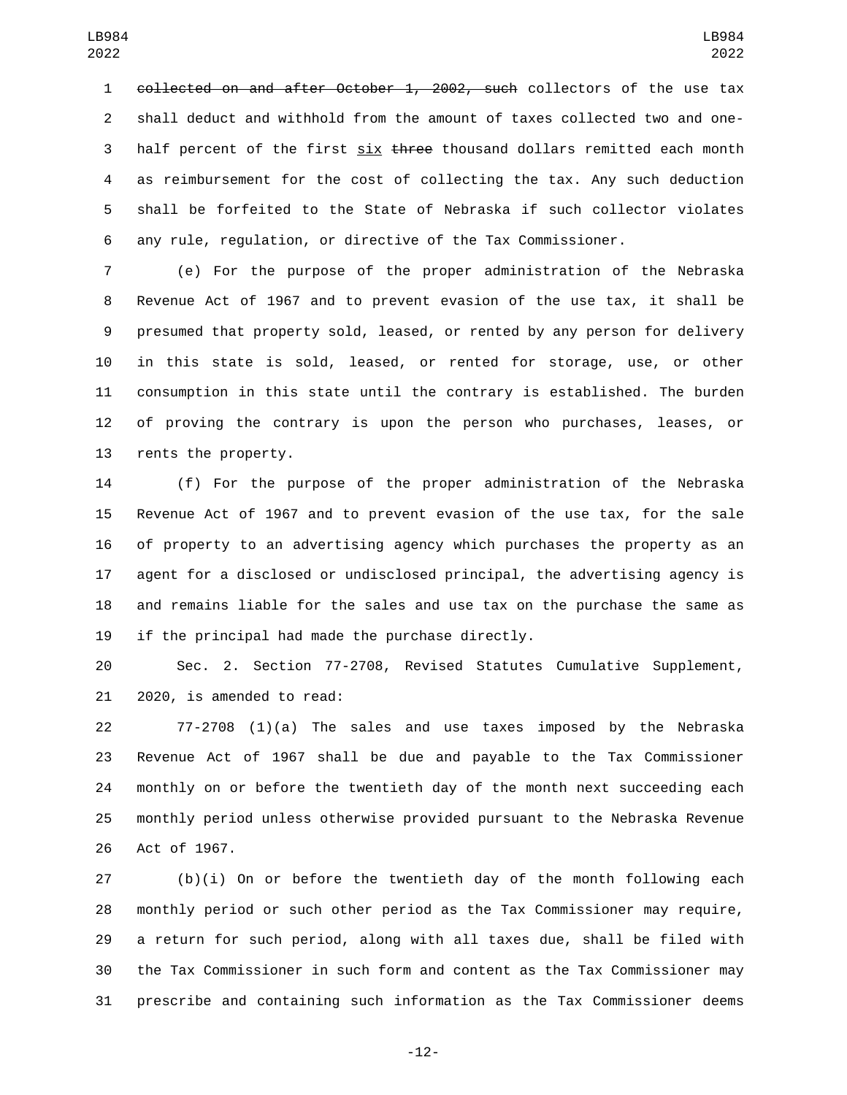collected on and after October 1, 2002, such collectors of the use tax shall deduct and withhold from the amount of taxes collected two and one-3 half percent of the first six three thousand dollars remitted each month as reimbursement for the cost of collecting the tax. Any such deduction shall be forfeited to the State of Nebraska if such collector violates any rule, regulation, or directive of the Tax Commissioner.

 (e) For the purpose of the proper administration of the Nebraska Revenue Act of 1967 and to prevent evasion of the use tax, it shall be presumed that property sold, leased, or rented by any person for delivery in this state is sold, leased, or rented for storage, use, or other consumption in this state until the contrary is established. The burden of proving the contrary is upon the person who purchases, leases, or 13 rents the property.

 (f) For the purpose of the proper administration of the Nebraska Revenue Act of 1967 and to prevent evasion of the use tax, for the sale of property to an advertising agency which purchases the property as an agent for a disclosed or undisclosed principal, the advertising agency is and remains liable for the sales and use tax on the purchase the same as if the principal had made the purchase directly.

 Sec. 2. Section 77-2708, Revised Statutes Cumulative Supplement, 21 2020, is amended to read:

 77-2708 (1)(a) The sales and use taxes imposed by the Nebraska Revenue Act of 1967 shall be due and payable to the Tax Commissioner monthly on or before the twentieth day of the month next succeeding each monthly period unless otherwise provided pursuant to the Nebraska Revenue 26 Act of 1967.

 (b)(i) On or before the twentieth day of the month following each monthly period or such other period as the Tax Commissioner may require, a return for such period, along with all taxes due, shall be filed with the Tax Commissioner in such form and content as the Tax Commissioner may prescribe and containing such information as the Tax Commissioner deems

-12-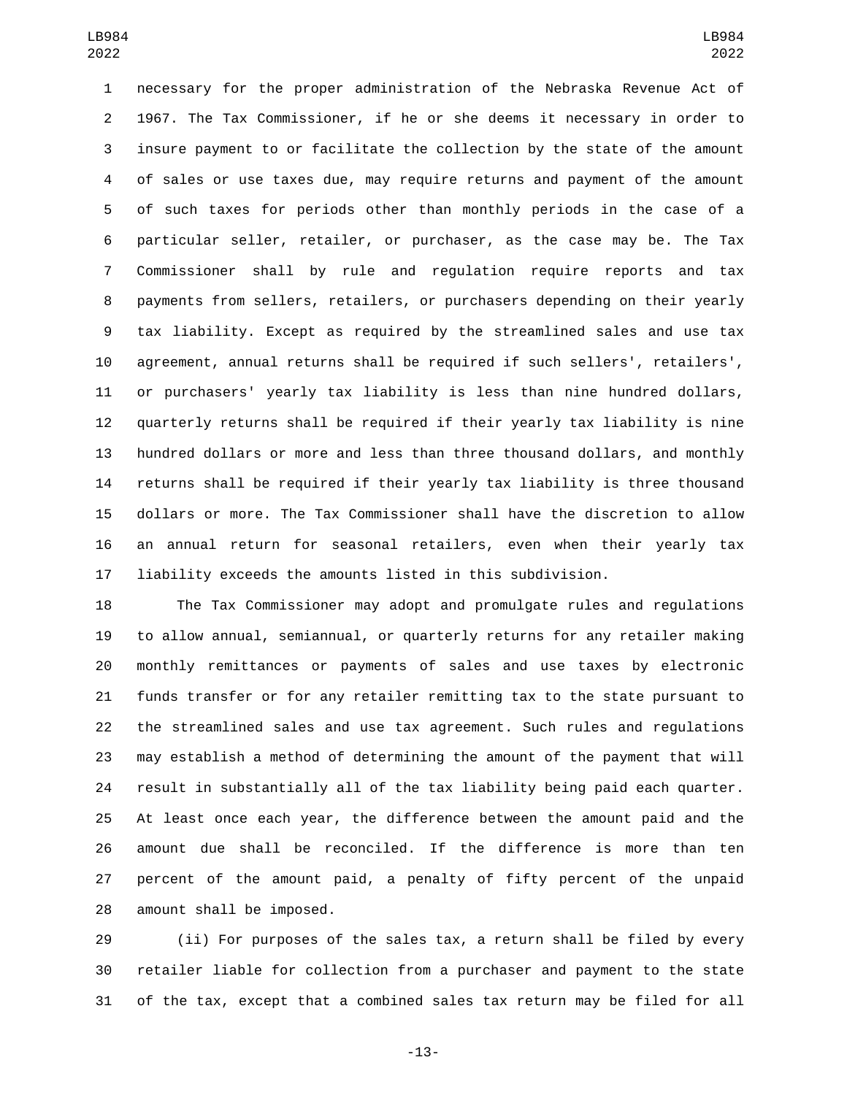necessary for the proper administration of the Nebraska Revenue Act of 1967. The Tax Commissioner, if he or she deems it necessary in order to insure payment to or facilitate the collection by the state of the amount of sales or use taxes due, may require returns and payment of the amount of such taxes for periods other than monthly periods in the case of a particular seller, retailer, or purchaser, as the case may be. The Tax Commissioner shall by rule and regulation require reports and tax payments from sellers, retailers, or purchasers depending on their yearly tax liability. Except as required by the streamlined sales and use tax agreement, annual returns shall be required if such sellers', retailers', or purchasers' yearly tax liability is less than nine hundred dollars, quarterly returns shall be required if their yearly tax liability is nine hundred dollars or more and less than three thousand dollars, and monthly returns shall be required if their yearly tax liability is three thousand dollars or more. The Tax Commissioner shall have the discretion to allow an annual return for seasonal retailers, even when their yearly tax liability exceeds the amounts listed in this subdivision.

 The Tax Commissioner may adopt and promulgate rules and regulations to allow annual, semiannual, or quarterly returns for any retailer making monthly remittances or payments of sales and use taxes by electronic funds transfer or for any retailer remitting tax to the state pursuant to the streamlined sales and use tax agreement. Such rules and regulations may establish a method of determining the amount of the payment that will result in substantially all of the tax liability being paid each quarter. At least once each year, the difference between the amount paid and the amount due shall be reconciled. If the difference is more than ten percent of the amount paid, a penalty of fifty percent of the unpaid 28 amount shall be imposed.

 (ii) For purposes of the sales tax, a return shall be filed by every retailer liable for collection from a purchaser and payment to the state of the tax, except that a combined sales tax return may be filed for all

-13-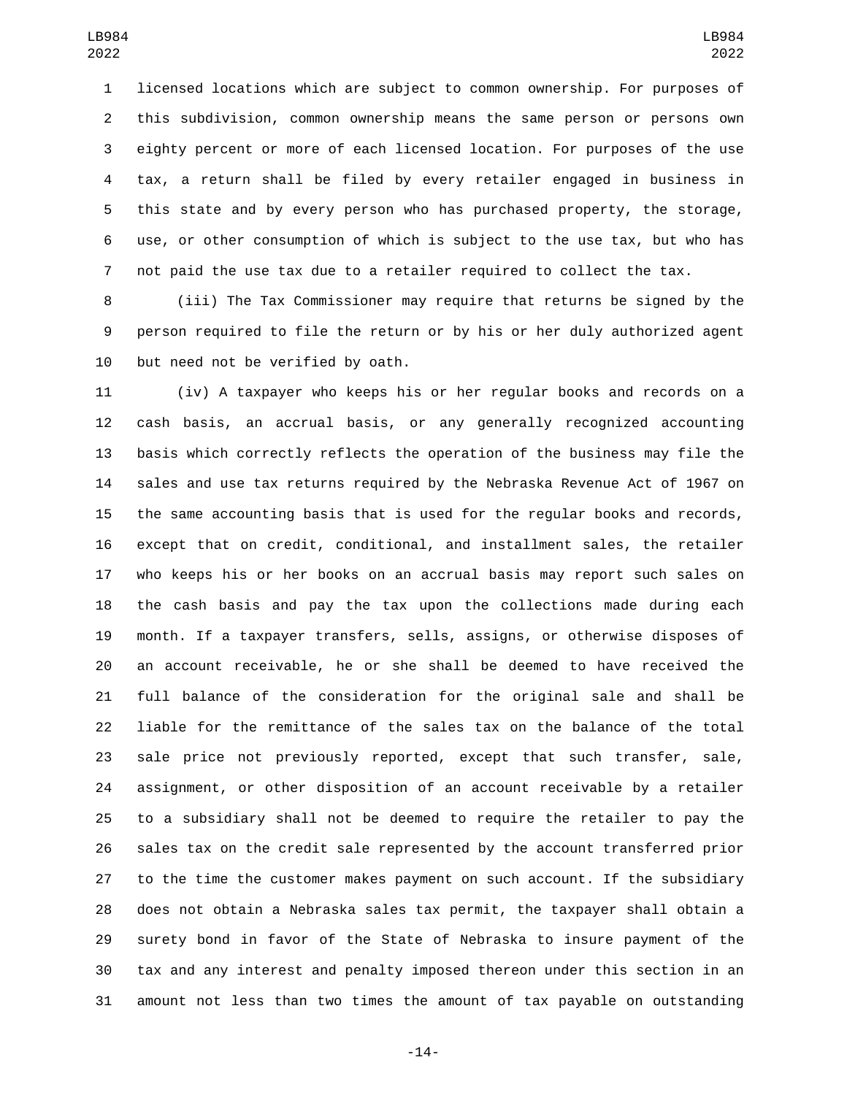licensed locations which are subject to common ownership. For purposes of this subdivision, common ownership means the same person or persons own eighty percent or more of each licensed location. For purposes of the use tax, a return shall be filed by every retailer engaged in business in this state and by every person who has purchased property, the storage, use, or other consumption of which is subject to the use tax, but who has not paid the use tax due to a retailer required to collect the tax.

 (iii) The Tax Commissioner may require that returns be signed by the person required to file the return or by his or her duly authorized agent 10 but need not be verified by oath.

 (iv) A taxpayer who keeps his or her regular books and records on a cash basis, an accrual basis, or any generally recognized accounting basis which correctly reflects the operation of the business may file the sales and use tax returns required by the Nebraska Revenue Act of 1967 on the same accounting basis that is used for the regular books and records, except that on credit, conditional, and installment sales, the retailer who keeps his or her books on an accrual basis may report such sales on the cash basis and pay the tax upon the collections made during each month. If a taxpayer transfers, sells, assigns, or otherwise disposes of an account receivable, he or she shall be deemed to have received the full balance of the consideration for the original sale and shall be liable for the remittance of the sales tax on the balance of the total sale price not previously reported, except that such transfer, sale, assignment, or other disposition of an account receivable by a retailer to a subsidiary shall not be deemed to require the retailer to pay the sales tax on the credit sale represented by the account transferred prior to the time the customer makes payment on such account. If the subsidiary does not obtain a Nebraska sales tax permit, the taxpayer shall obtain a surety bond in favor of the State of Nebraska to insure payment of the tax and any interest and penalty imposed thereon under this section in an amount not less than two times the amount of tax payable on outstanding

-14-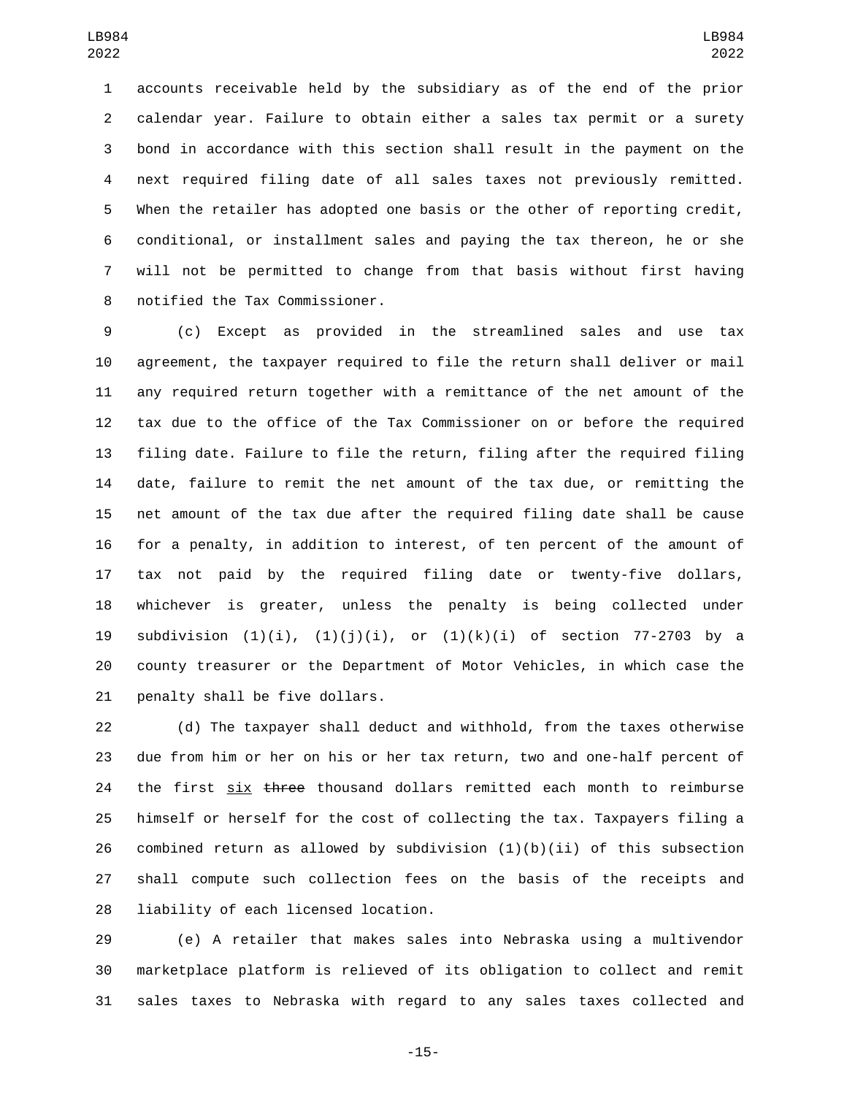accounts receivable held by the subsidiary as of the end of the prior calendar year. Failure to obtain either a sales tax permit or a surety bond in accordance with this section shall result in the payment on the next required filing date of all sales taxes not previously remitted. When the retailer has adopted one basis or the other of reporting credit, conditional, or installment sales and paying the tax thereon, he or she will not be permitted to change from that basis without first having 8 notified the Tax Commissioner.

 (c) Except as provided in the streamlined sales and use tax agreement, the taxpayer required to file the return shall deliver or mail any required return together with a remittance of the net amount of the tax due to the office of the Tax Commissioner on or before the required filing date. Failure to file the return, filing after the required filing date, failure to remit the net amount of the tax due, or remitting the net amount of the tax due after the required filing date shall be cause for a penalty, in addition to interest, of ten percent of the amount of tax not paid by the required filing date or twenty-five dollars, whichever is greater, unless the penalty is being collected under 19 subdivision  $(1)(i)$ ,  $(1)(j)(i)$ , or  $(1)(k)(i)$  of section 77-2703 by a county treasurer or the Department of Motor Vehicles, in which case the 21 penalty shall be five dollars.

 (d) The taxpayer shall deduct and withhold, from the taxes otherwise due from him or her on his or her tax return, two and one-half percent of 24 the first six three thousand dollars remitted each month to reimburse himself or herself for the cost of collecting the tax. Taxpayers filing a 26 combined return as allowed by subdivision  $(1)(b)(ii)$  of this subsection shall compute such collection fees on the basis of the receipts and 28 liability of each licensed location.

 (e) A retailer that makes sales into Nebraska using a multivendor marketplace platform is relieved of its obligation to collect and remit sales taxes to Nebraska with regard to any sales taxes collected and

-15-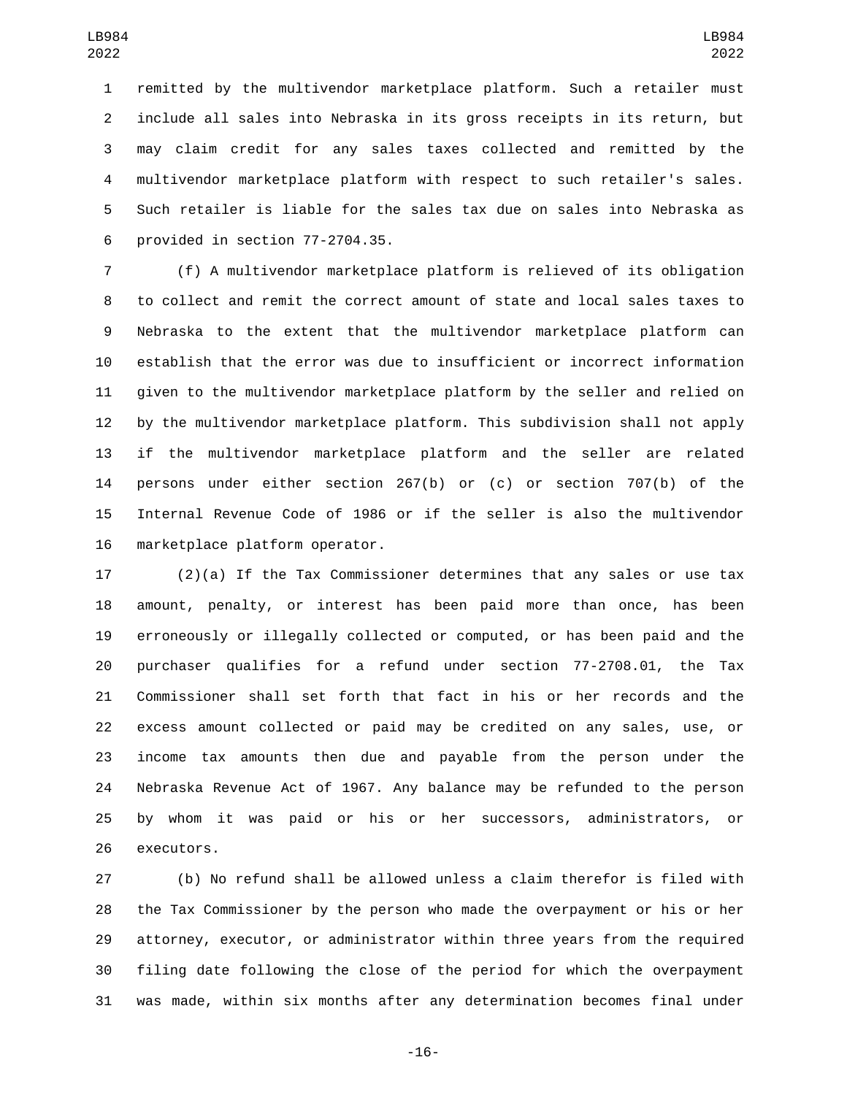remitted by the multivendor marketplace platform. Such a retailer must include all sales into Nebraska in its gross receipts in its return, but may claim credit for any sales taxes collected and remitted by the multivendor marketplace platform with respect to such retailer's sales. Such retailer is liable for the sales tax due on sales into Nebraska as provided in section  $77-2704.35$ .

 (f) A multivendor marketplace platform is relieved of its obligation to collect and remit the correct amount of state and local sales taxes to Nebraska to the extent that the multivendor marketplace platform can establish that the error was due to insufficient or incorrect information given to the multivendor marketplace platform by the seller and relied on by the multivendor marketplace platform. This subdivision shall not apply if the multivendor marketplace platform and the seller are related persons under either section 267(b) or (c) or section 707(b) of the Internal Revenue Code of 1986 or if the seller is also the multivendor 16 marketplace platform operator.

 (2)(a) If the Tax Commissioner determines that any sales or use tax amount, penalty, or interest has been paid more than once, has been erroneously or illegally collected or computed, or has been paid and the purchaser qualifies for a refund under section 77-2708.01, the Tax Commissioner shall set forth that fact in his or her records and the excess amount collected or paid may be credited on any sales, use, or income tax amounts then due and payable from the person under the Nebraska Revenue Act of 1967. Any balance may be refunded to the person by whom it was paid or his or her successors, administrators, or 26 executors.

 (b) No refund shall be allowed unless a claim therefor is filed with the Tax Commissioner by the person who made the overpayment or his or her attorney, executor, or administrator within three years from the required filing date following the close of the period for which the overpayment was made, within six months after any determination becomes final under

-16-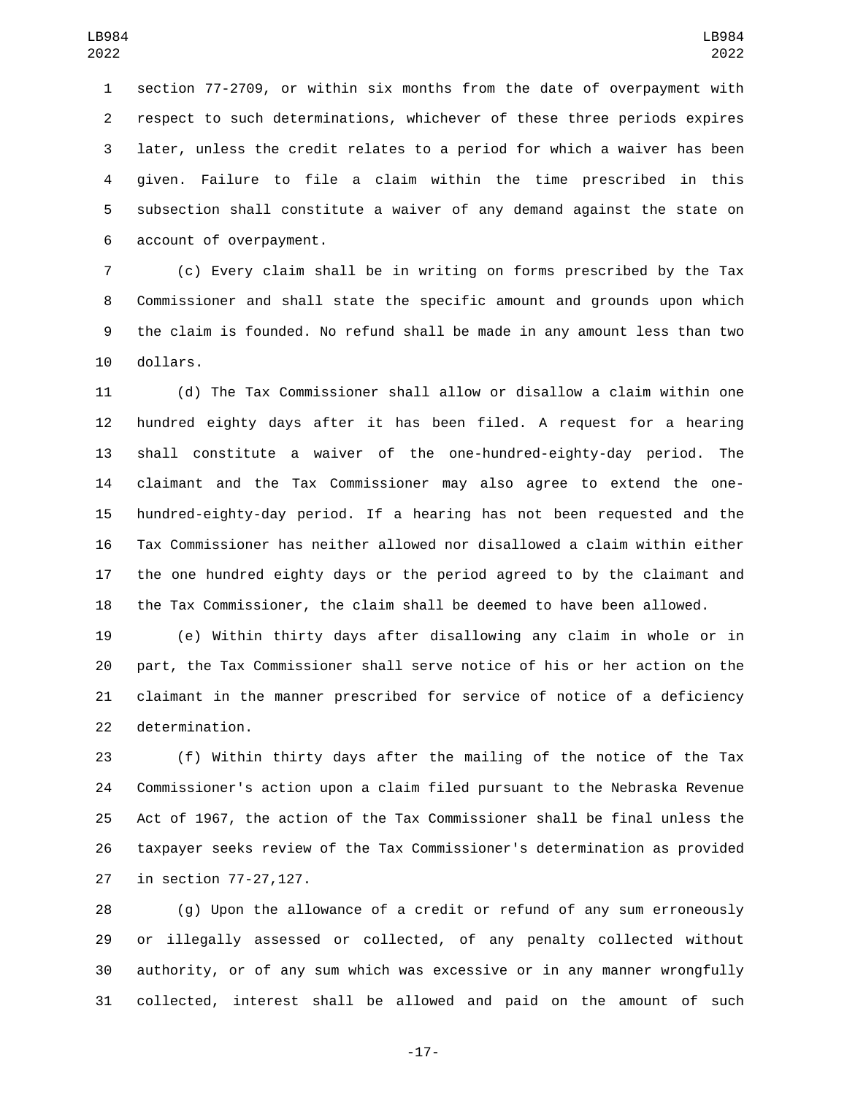section 77-2709, or within six months from the date of overpayment with respect to such determinations, whichever of these three periods expires later, unless the credit relates to a period for which a waiver has been given. Failure to file a claim within the time prescribed in this subsection shall constitute a waiver of any demand against the state on 6 account of overpayment.

 (c) Every claim shall be in writing on forms prescribed by the Tax Commissioner and shall state the specific amount and grounds upon which the claim is founded. No refund shall be made in any amount less than two 10 dollars.

 (d) The Tax Commissioner shall allow or disallow a claim within one hundred eighty days after it has been filed. A request for a hearing shall constitute a waiver of the one-hundred-eighty-day period. The claimant and the Tax Commissioner may also agree to extend the one- hundred-eighty-day period. If a hearing has not been requested and the Tax Commissioner has neither allowed nor disallowed a claim within either the one hundred eighty days or the period agreed to by the claimant and the Tax Commissioner, the claim shall be deemed to have been allowed.

 (e) Within thirty days after disallowing any claim in whole or in part, the Tax Commissioner shall serve notice of his or her action on the claimant in the manner prescribed for service of notice of a deficiency 22 determination.

 (f) Within thirty days after the mailing of the notice of the Tax Commissioner's action upon a claim filed pursuant to the Nebraska Revenue Act of 1967, the action of the Tax Commissioner shall be final unless the taxpayer seeks review of the Tax Commissioner's determination as provided 27 in section 77-27,127.

 (g) Upon the allowance of a credit or refund of any sum erroneously or illegally assessed or collected, of any penalty collected without authority, or of any sum which was excessive or in any manner wrongfully collected, interest shall be allowed and paid on the amount of such

-17-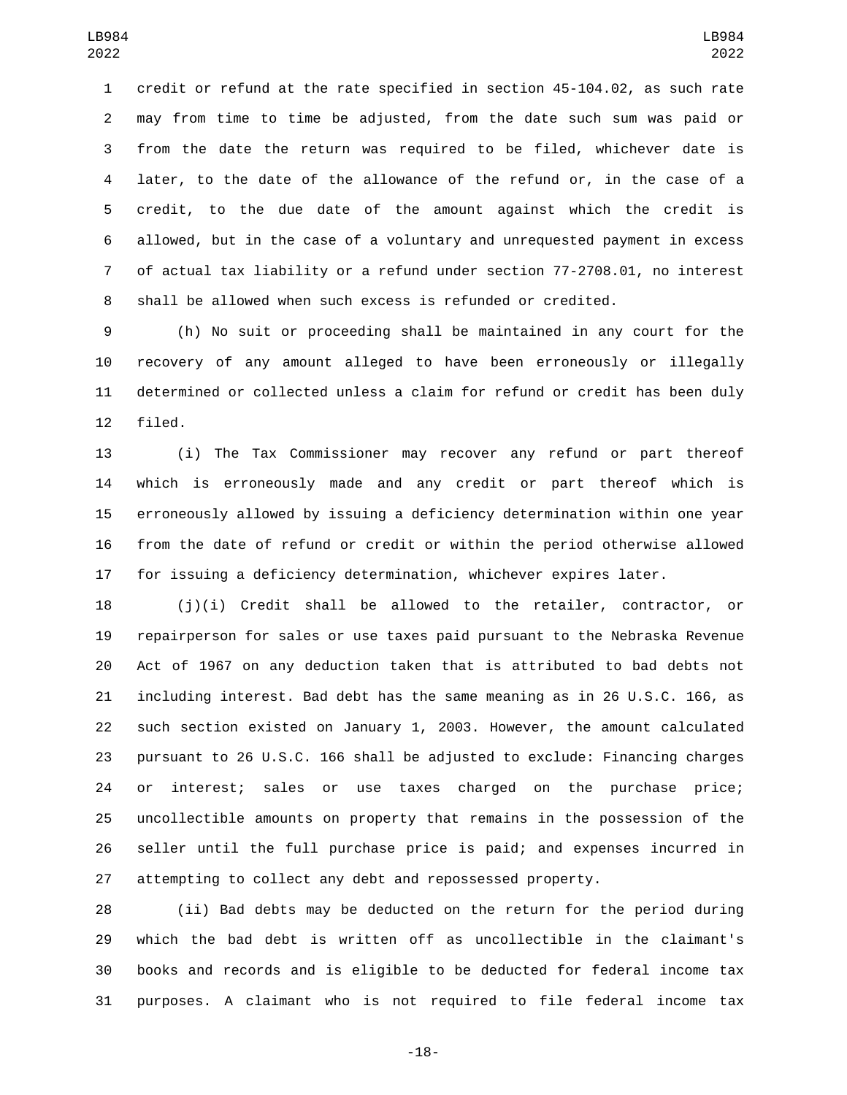credit or refund at the rate specified in section 45-104.02, as such rate may from time to time be adjusted, from the date such sum was paid or from the date the return was required to be filed, whichever date is later, to the date of the allowance of the refund or, in the case of a credit, to the due date of the amount against which the credit is allowed, but in the case of a voluntary and unrequested payment in excess of actual tax liability or a refund under section 77-2708.01, no interest shall be allowed when such excess is refunded or credited.

 (h) No suit or proceeding shall be maintained in any court for the recovery of any amount alleged to have been erroneously or illegally determined or collected unless a claim for refund or credit has been duly 12 filed.

 (i) The Tax Commissioner may recover any refund or part thereof which is erroneously made and any credit or part thereof which is erroneously allowed by issuing a deficiency determination within one year from the date of refund or credit or within the period otherwise allowed for issuing a deficiency determination, whichever expires later.

 (j)(i) Credit shall be allowed to the retailer, contractor, or repairperson for sales or use taxes paid pursuant to the Nebraska Revenue Act of 1967 on any deduction taken that is attributed to bad debts not including interest. Bad debt has the same meaning as in 26 U.S.C. 166, as such section existed on January 1, 2003. However, the amount calculated pursuant to 26 U.S.C. 166 shall be adjusted to exclude: Financing charges or interest; sales or use taxes charged on the purchase price; uncollectible amounts on property that remains in the possession of the seller until the full purchase price is paid; and expenses incurred in attempting to collect any debt and repossessed property.

 (ii) Bad debts may be deducted on the return for the period during which the bad debt is written off as uncollectible in the claimant's books and records and is eligible to be deducted for federal income tax purposes. A claimant who is not required to file federal income tax

-18-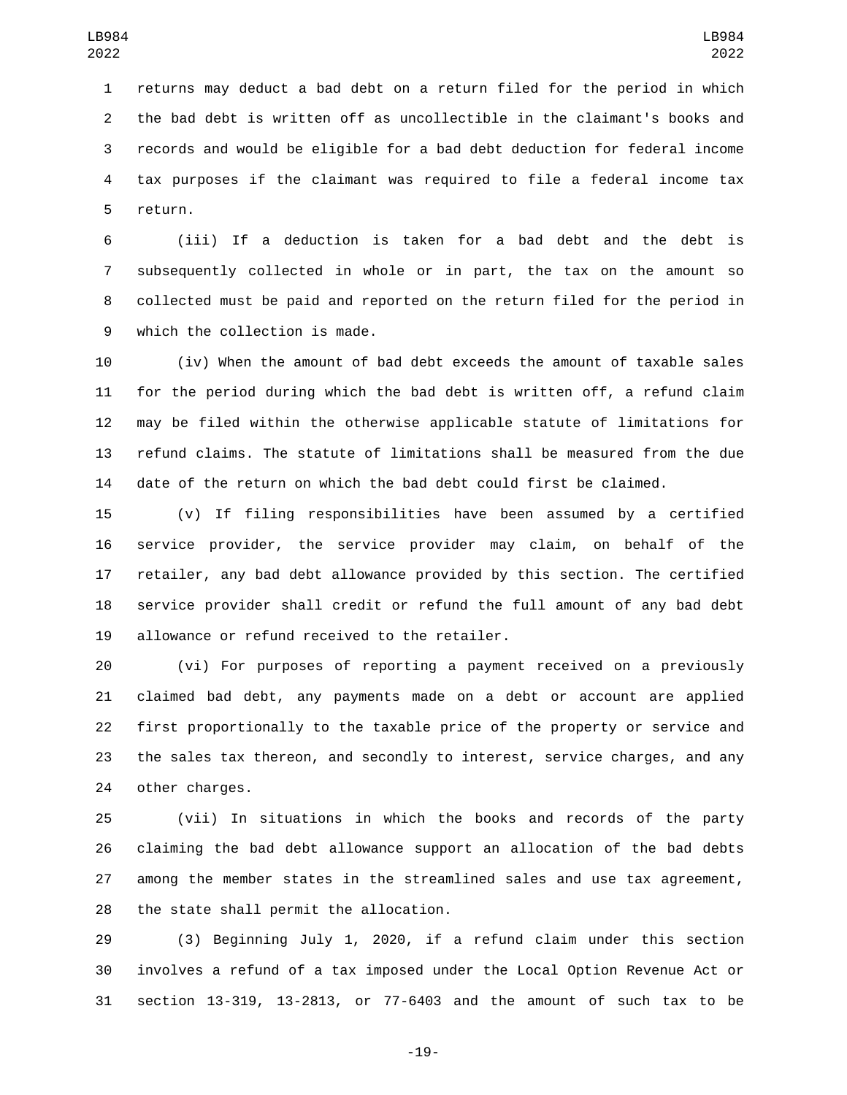returns may deduct a bad debt on a return filed for the period in which the bad debt is written off as uncollectible in the claimant's books and records and would be eligible for a bad debt deduction for federal income tax purposes if the claimant was required to file a federal income tax 5 return.

 (iii) If a deduction is taken for a bad debt and the debt is subsequently collected in whole or in part, the tax on the amount so collected must be paid and reported on the return filed for the period in 9 which the collection is made.

 (iv) When the amount of bad debt exceeds the amount of taxable sales for the period during which the bad debt is written off, a refund claim may be filed within the otherwise applicable statute of limitations for refund claims. The statute of limitations shall be measured from the due date of the return on which the bad debt could first be claimed.

 (v) If filing responsibilities have been assumed by a certified service provider, the service provider may claim, on behalf of the retailer, any bad debt allowance provided by this section. The certified service provider shall credit or refund the full amount of any bad debt 19 allowance or refund received to the retailer.

 (vi) For purposes of reporting a payment received on a previously claimed bad debt, any payments made on a debt or account are applied first proportionally to the taxable price of the property or service and the sales tax thereon, and secondly to interest, service charges, and any 24 other charges.

 (vii) In situations in which the books and records of the party claiming the bad debt allowance support an allocation of the bad debts among the member states in the streamlined sales and use tax agreement, 28 the state shall permit the allocation.

 (3) Beginning July 1, 2020, if a refund claim under this section involves a refund of a tax imposed under the Local Option Revenue Act or section 13-319, 13-2813, or 77-6403 and the amount of such tax to be

-19-